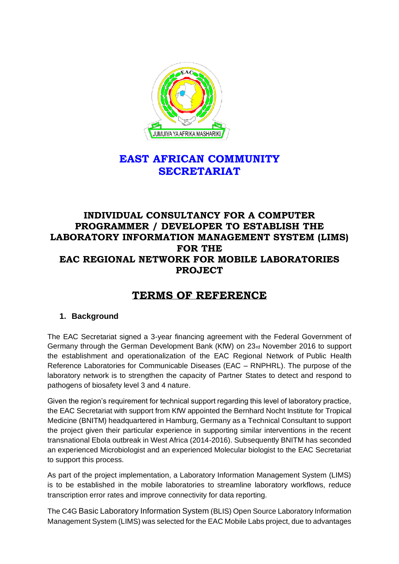

## **EAST AFRICAN COMMUNITY SECRETARIAT**

## **INDIVIDUAL CONSULTANCY FOR A COMPUTER PROGRAMMER / DEVELOPER TO ESTABLISH THE LABORATORY INFORMATION MANAGEMENT SYSTEM (LIMS) FOR THE EAC REGIONAL NETWORK FOR MOBILE LABORATORIES PROJECT**

# **TERMS OF REFERENCE**

## **1. Background**

The EAC Secretariat signed a 3-year financing agreement with the Federal Government of Germany through the German Development Bank (KfW) on 23rd November 2016 to support the establishment and operationalization of the EAC Regional Network of Public Health Reference Laboratories for Communicable Diseases (EAC – RNPHRL). The purpose of the laboratory network is to strengthen the capacity of Partner States to detect and respond to pathogens of biosafety level 3 and 4 nature.

Given the region's requirement for technical support regarding this level of laboratory practice, the EAC Secretariat with support from KfW appointed the Bernhard Nocht Institute for Tropical Medicine (BNITM) headquartered in Hamburg, Germany as a Technical Consultant to support the project given their particular experience in supporting similar interventions in the recent transnational Ebola outbreak in West Africa (2014-2016). Subsequently BNITM has seconded an experienced Microbiologist and an experienced Molecular biologist to the EAC Secretariat to support this process.

As part of the project implementation, a Laboratory Information Management System (LIMS) is to be established in the mobile laboratories to streamline laboratory workflows, reduce transcription error rates and improve connectivity for data reporting.

The C4G Basic Laboratory Information System (BLIS) Open Source Laboratory Information Management System (LIMS) was selected for the EAC Mobile Labs project, due to advantages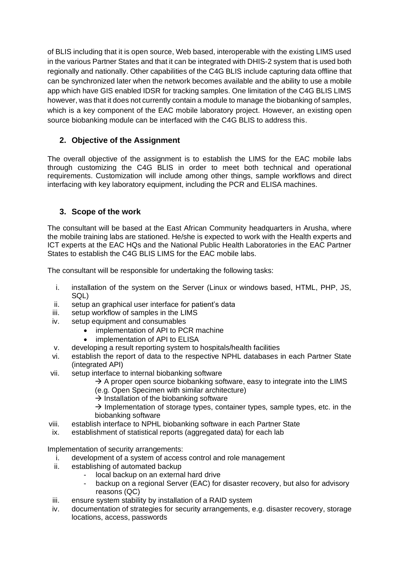of BLIS including that it is open source, Web based, interoperable with the existing LIMS used in the various Partner States and that it can be integrated with DHIS-2 system that is used both regionally and nationally. Other capabilities of the C4G BLIS include capturing data offline that can be synchronized later when the network becomes available and the ability to use a mobile app which have GIS enabled IDSR for tracking samples. One limitation of the C4G BLIS LIMS however, was that it does not currently contain a module to manage the biobanking of samples, which is a key component of the EAC mobile laboratory project. However, an existing open source biobanking module can be interfaced with the C4G BLIS to address this.

## **2. Objective of the Assignment**

The overall objective of the assignment is to establish the LIMS for the EAC mobile labs through customizing the C4G BLIS in order to meet both technical and operational requirements. Customization will include among other things, sample workflows and direct interfacing with key laboratory equipment, including the PCR and ELISA machines.

## **3. Scope of the work**

The consultant will be based at the East African Community headquarters in Arusha, where the mobile training labs are stationed. He/she is expected to work with the Health experts and ICT experts at the EAC HQs and the National Public Health Laboratories in the EAC Partner States to establish the C4G BLIS LIMS for the EAC mobile labs.

The consultant will be responsible for undertaking the following tasks:

- i. installation of the system on the Server (Linux or windows based, HTML, PHP, JS, SQL)
- ii. setup an graphical user interface for patient's data
- iii. setup workflow of samples in the LIMS
- iv. setup equipment and consumables
	- implementation of API to PCR machine
	- implementation of API to ELISA
- v. developing a result reporting system to hospitals/health facilities
- vi. establish the report of data to the respective NPHL databases in each Partner State (integrated API)
- vii. setup interface to internal biobanking software
	- $\rightarrow$  A proper open source biobanking software, easy to integrate into the LIMS
	- (e.g. Open Specimen with similar architecture)
	- $\rightarrow$  Installation of the biobanking software
	- $\rightarrow$  Implementation of storage types, container types, sample types, etc. in the biobanking software
- viii. establish interface to NPHL biobanking software in each Partner State
- ix. establishment of statistical reports (aggregated data) for each lab

Implementation of security arrangements:

- i. development of a system of access control and role management
- ii. establishing of automated backup
	- local backup on an external hard drive
	- backup on a regional Server (EAC) for disaster recovery, but also for advisory reasons (QC)
- iii. ensure system stability by installation of a RAID system
- iv. documentation of strategies for security arrangements, e.g. disaster recovery, storage locations, access, passwords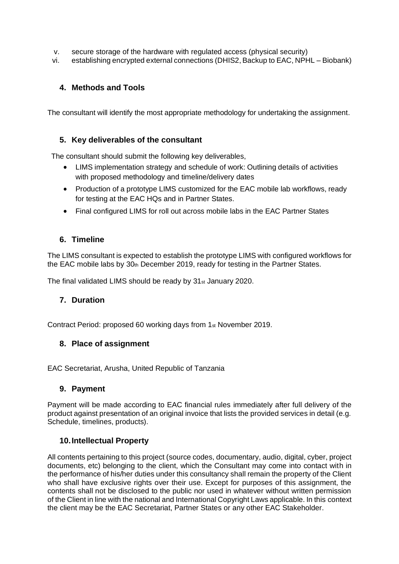- v. secure storage of the hardware with regulated access (physical security)
- vi. establishing encrypted external connections (DHIS2, Backup to EAC, NPHL Biobank)

### **4. Methods and Tools**

The consultant will identify the most appropriate methodology for undertaking the assignment.

#### **5. Key deliverables of the consultant**

The consultant should submit the following key deliverables,

- LIMS implementation strategy and schedule of work: Outlining details of activities with proposed methodology and timeline/delivery dates
- Production of a prototype LIMS customized for the EAC mobile lab workflows, ready for testing at the EAC HQs and in Partner States.
- Final configured LIMS for roll out across mobile labs in the EAC Partner States

#### **6. Timeline**

The LIMS consultant is expected to establish the prototype LIMS with configured workflows for the EAC mobile labs by  $30<sub>th</sub>$  December 2019, ready for testing in the Partner States.

The final validated LIMS should be ready by 31st January 2020.

#### **7. Duration**

Contract Period: proposed 60 working days from 1st November 2019.

#### **8. Place of assignment**

EAC Secretariat, Arusha, United Republic of Tanzania

#### **9. Payment**

Payment will be made according to EAC financial rules immediately after full delivery of the product against presentation of an original invoice that lists the provided services in detail (e.g. Schedule, timelines, products).

#### **10.Intellectual Property**

All contents pertaining to this project (source codes, documentary, audio, digital, cyber, project documents, etc) belonging to the client, which the Consultant may come into contact with in the performance of his/her duties under this consultancy shall remain the property of the Client who shall have exclusive rights over their use. Except for purposes of this assignment, the contents shall not be disclosed to the public nor used in whatever without written permission of the Client in line with the national and International Copyright Laws applicable. In this context the client may be the EAC Secretariat, Partner States or any other EAC Stakeholder.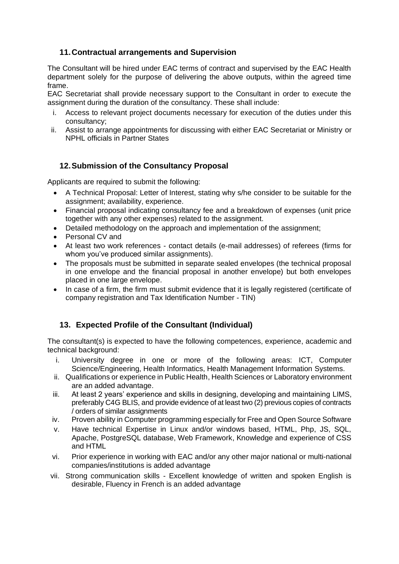### **11.Contractual arrangements and Supervision**

The Consultant will be hired under EAC terms of contract and supervised by the EAC Health department solely for the purpose of delivering the above outputs, within the agreed time frame.

EAC Secretariat shall provide necessary support to the Consultant in order to execute the assignment during the duration of the consultancy. These shall include:

- Access to relevant project documents necessary for execution of the duties under this consultancy;
- ii. Assist to arrange appointments for discussing with either EAC Secretariat or Ministry or NPHL officials in Partner States

## **12.Submission of the Consultancy Proposal**

Applicants are required to submit the following:

- A Technical Proposal: Letter of Interest, stating why s/he consider to be suitable for the assignment; availability, experience.
- Financial proposal indicating consultancy fee and a breakdown of expenses (unit price together with any other expenses) related to the assignment.
- Detailed methodology on the approach and implementation of the assignment;
- Personal CV and
- At least two work references contact details (e-mail addresses) of referees (firms for whom you've produced similar assignments).
- The proposals must be submitted in separate sealed envelopes (the technical proposal in one envelope and the financial proposal in another envelope) but both envelopes placed in one large envelope.
- In case of a firm, the firm must submit evidence that it is legally registered (certificate of company registration and Tax Identification Number - TIN)

## **13. Expected Profile of the Consultant (Individual)**

The consultant(s) is expected to have the following competences, experience, academic and technical background:

- i. University degree in one or more of the following areas: ICT, Computer Science/Engineering, Health Informatics, Health Management Information Systems.
- ii. Qualifications or experience in Public Health, Health Sciences or Laboratory environment are an added advantage.
- iii. At least 2 years' experience and skills in designing, developing and maintaining LIMS, preferably C4G BLIS, and provide evidence of at least two (2) previous copies of contracts / orders of similar assignments
- iv. Proven ability in Computer programming especially for Free and Open Source Software
- v. Have technical Expertise in Linux and/or windows based, HTML, Php, JS, SQL, Apache, PostgreSQL database, Web Framework, Knowledge and experience of CSS and HTML
- vi. Prior experience in working with EAC and/or any other major national or multi-national companies/institutions is added advantage
- vii. Strong communication skills Excellent knowledge of written and spoken English is desirable, Fluency in French is an added advantage